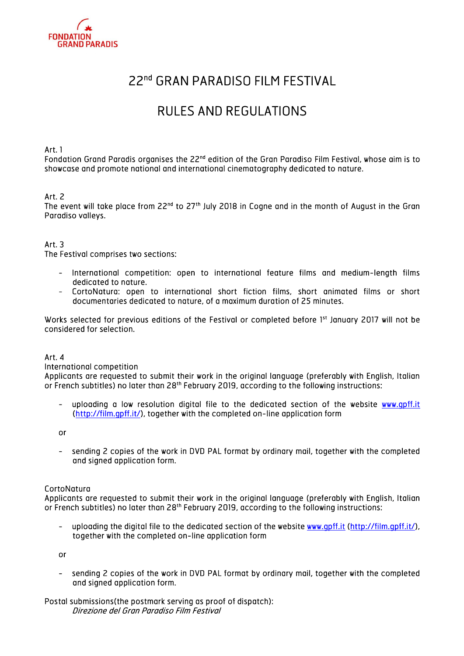

# 22nd GRAN PARADISO FILM FESTIVAL

# RULES AND REGULATIONS

Art. 1

Fondation Grand Paradis organises the 22nd edition of the Gran Paradiso Film Festival, whose aim is to showcase and promote national and international cinematography dedicated to nature.

# Art. 2

The event will take place from 22<sup>nd</sup> to 27<sup>th</sup> July 2018 in Cogne and in the month of August in the Gran Paradiso valleys.

# Art. 3

The Festival comprises two sections:

- International competition: open to international feature films and medium-length films dedicated to nature.
- CortoNatura: open to international short fiction films, short animated films or short documentaries dedicated to nature, of a maximum duration of 25 minutes.

Works selected for previous editions of the Festival or completed before 1<sup>st</sup> January 2017 will not be considered for selection.

# Art. 4

International competition

Applicants are requested to submit their work in the original language (preferably with English, Italian or French subtitles) no later than 28<sup>th</sup> February 2019, according to the following instructions:

- uploading a low resolution digital file to the dedicated section of the website www.gpff.it (http://film.gpff.it/), together with the completed on-line application form

or

sending 2 copies of the work in DVD PAL format by ordinary mail, together with the completed and signed application form.

# CortoNatura

Applicants are requested to submit their work in the original language (preferably with English, Italian or French subtitles) no later than 28<sup>th</sup> February 2019, according to the following instructions:

- uploading the digital file to the dedicated section of the website www.gpff.it (http://film.gpff.it/), together with the completed on-line application form

or

- sending 2 copies of the work in DVD PAL format by ordinary mail, together with the completed and signed application form.
- Postal submissions(the postmark serving as proof of dispatch): Direzione del Gran Paradiso Film Festival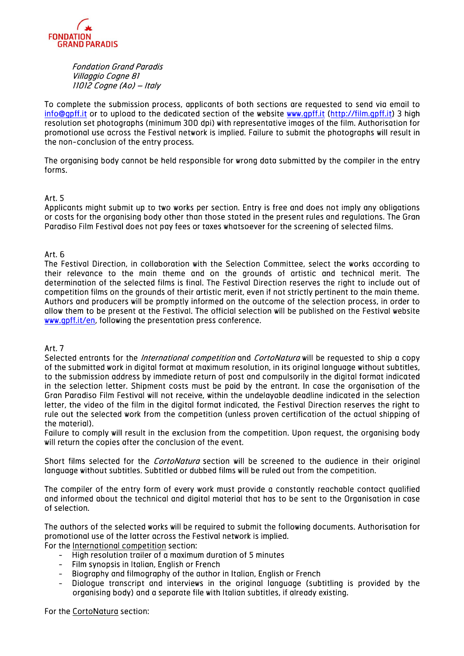

Fondation Grand Paradis Villaggio Cogne 81 11012 Cogne (Ao) – Italy

To complete the submission process, applicants of both sections are requested to send via email to info@gpff.it or to upload to the dedicated section of the website www.gpff.it (http://film.gpff.it) 3 high resolution set photographs (minimum 300 dpi) with representative images of the film. Authorisation for promotional use across the Festival network is implied. Failure to submit the photographs will result in the non-conclusion of the entry process.

The organising body cannot be held responsible for wrong data submitted by the compiler in the entry forms.

## Art. 5

Applicants might submit up to two works per section. Entry is free and does not imply any obligations or costs for the organising body other than those stated in the present rules and regulations. The Gran Paradiso Film Festival does not pay fees or taxes whatsoever for the screening of selected films.

## Art. 6

The Festival Direction, in collaboration with the Selection Committee, select the works according to their relevance to the main theme and on the grounds of artistic and technical merit. The determination of the selected films is final. The Festival Direction reserves the right to include out of competition films on the grounds of their artistic merit, even if not strictly pertinent to the main theme. Authors and producers will be promptly informed on the outcome of the selection process, in order to allow them to be present at the Festival. The official selection will be published on the Festival website www.gpff.it/en, following the presentation press conference.

#### Art. 7

Selected entrants for the *International competition* and *CortoNatura* will be requested to ship a copy of the submitted work in digital format at maximum resolution, in its original language without subtitles, to the submission address by immediate return of post and compulsorily in the digital format indicated in the selection letter. Shipment costs must be paid by the entrant. In case the organisation of the Gran Paradiso Film Festival will not receive, within the undelayable deadline indicated in the selection letter, the video of the film in the digital format indicated, the Festival Direction reserves the right to rule out the selected work from the competition (unless proven certification of the actual shipping of the material).

Failure to comply will result in the exclusion from the competition. Upon request, the organising body will return the copies after the conclusion of the event.

Short films selected for the *CortoNatura* section will be screened to the audience in their original language without subtitles. Subtitled or dubbed films will be ruled out from the competition.

The compiler of the entry form of every work must provide a constantly reachable contact qualified and informed about the technical and digital material that has to be sent to the Organisation in case of selection.

The authors of the selected works will be required to submit the following documents. Authorisation for promotional use of the latter across the Festival network is implied.

For the International competition section:

- High resolution trailer of a maximum duration of 5 minutes
- Film synopsis in Italian, English or French
- Biography and filmography of the author in Italian, English or French
- Dialogue transcript and interviews in the original language (subtitling is provided by the organising body) and a separate file with Italian subtitles, if already existing.

For the CortoNatura section: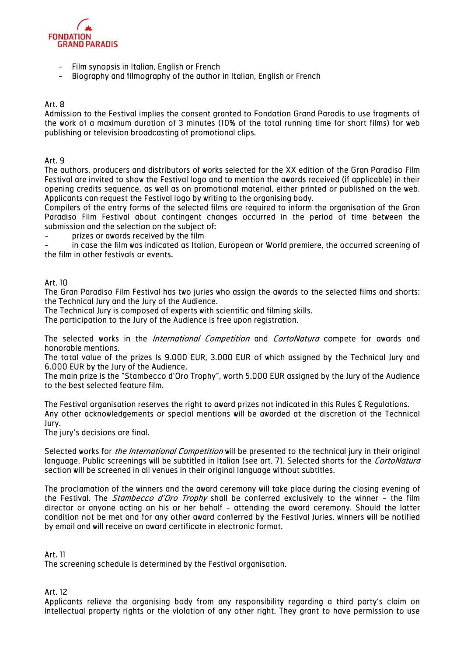

- Film synopsis in Italian, English or French
- Biography and filmography of the author in Italian, English or French

## Art. 8

Admission to the Festival implies the consent granted to Fondation Grand Paradis to use fragments of the work of a maximum duration of 3 minutes (10% of the total running time for short films) for web publishing or television broadcasting of promotional clips.

## Art. 9

The authors, producers and distributors of works selected for the XX edition of the Gran Paradiso Film Festival are invited to show the Festival logo and to mention the awards received (if applicable) in their opening credits sequence, as well as on promotional material, either printed or published on the web. Applicants can request the Festival logo by writing to the organising body.

Compilers of the entry forms of the selected films are required to inform the organisation of the Gran Paradiso Film Festival about contingent changes occurred in the period of time between the submission and the selection on the subject of:

prizes or awards received by the film

in case the film was indicated as Italian, European or World premiere, the occurred screening of the film in other festivals or events.

## Art. 10

The Gran Paradiso Film Festival has two juries who assign the awards to the selected films and shorts: the Technical Jury and the Jury of the Audience.

The Technical Jury is composed of experts with scientific and filming skills.

The participation to the Jury of the Audience is free upon registration.

The selected works in the *International Competition* and *CortoNatura* compete for awards and honorable mentions.

The total value of the prizes Is 9.000 EUR, 3.000 EUR of which assigned by the Technical Jury and 6.000 EUR by the Jury of the Audience.

The main prize is the "Stambecco d'Oro Trophy", worth 5.000 EUR assigned by the Jury of the Audience to the best selected feature film.

The Festival organisation reserves the right to award prizes not indicated in this Rules & Regulations. Any other acknowledgements or special mentions will be awarded at the discretion of the Technical Jury.

The jury's decisions are final.

Selected works for *the International Competition* will be presented to the technical jury in their original language. Public screenings will be subtitled in Italian (see art. 7). Selected shorts for the CortoNatura section will be screened in all venues in their original language without subtitles.

The proclamation of the winners and the award ceremony will take place during the closing evening of the Festival. The *Stambecco d'Oro Trophy* shall be conferred exclusively to the winner - the film director or anyone acting on his or her behalf - attending the award ceremony. Should the latter condition not be met and for any other award conferred by the Festival Juries, winners will be notified by email and will receive an award certificate in electronic format.

#### Art. 11

The screening schedule is determined by the Festival organisation.

Art. 12

Applicants relieve the organising body from any responsibility regarding a third party's claim on intellectual property rights or the violation of any other right. They grant to have permission to use